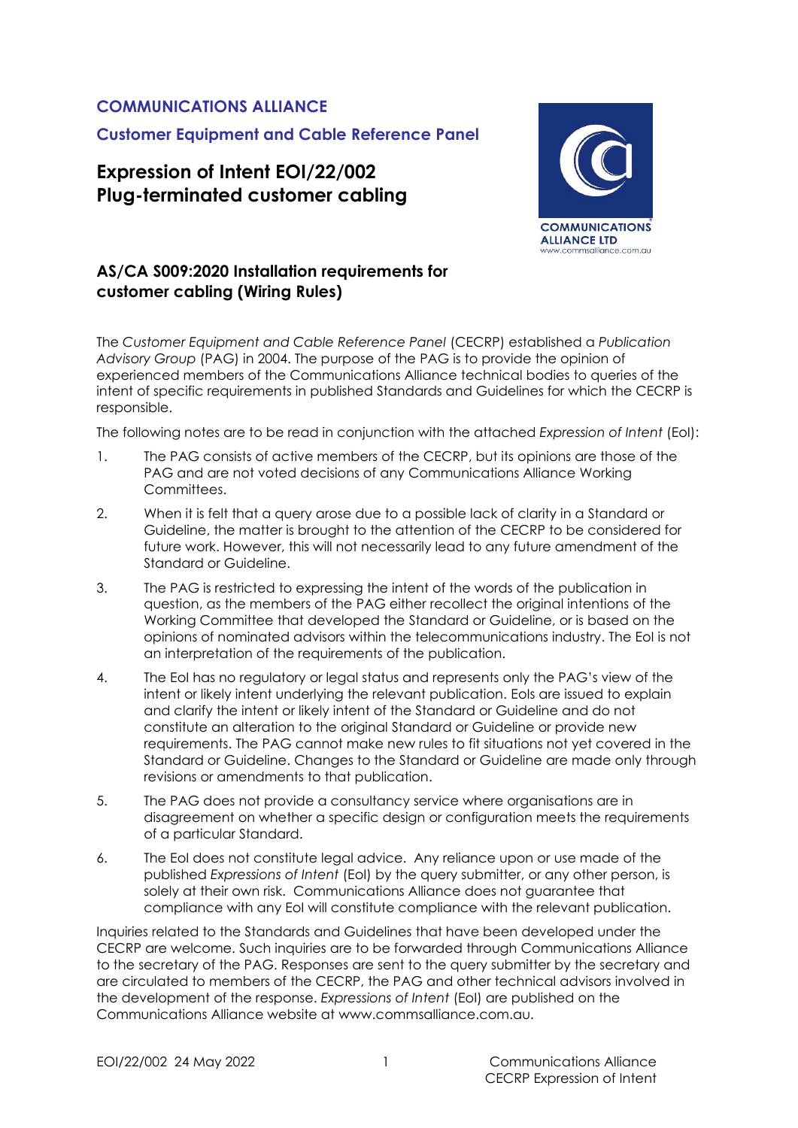#### **COMMUNICATIONS ALLIANCE**

**Customer Equipment and Cable Reference Panel**

### **Expression of Intent EOI/22/002 Plug-terminated customer cabling**



#### **AS/CA S009:2020 Installation requirements for customer cabling (Wiring Rules)**

The *Customer Equipment and Cable Reference Panel* (CECRP) established a *Publication Advisory Group* (PAG) in 2004. The purpose of the PAG is to provide the opinion of experienced members of the Communications Alliance technical bodies to queries of the intent of specific requirements in published Standards and Guidelines for which the CECRP is responsible.

The following notes are to be read in conjunction with the attached *Expression of Intent* (EoI):

- 1. The PAG consists of active members of the CECRP, but its opinions are those of the PAG and are not voted decisions of any Communications Alliance Working Committees.
- 2. When it is felt that a query arose due to a possible lack of clarity in a Standard or Guideline, the matter is brought to the attention of the CECRP to be considered for future work. However, this will not necessarily lead to any future amendment of the Standard or Guideline.
- 3. The PAG is restricted to expressing the intent of the words of the publication in question, as the members of the PAG either recollect the original intentions of the Working Committee that developed the Standard or Guideline, or is based on the opinions of nominated advisors within the telecommunications industry. The EoI is not an interpretation of the requirements of the publication.
- 4. The EoI has no regulatory or legal status and represents only the PAG's view of the intent or likely intent underlying the relevant publication. EoIs are issued to explain and clarify the intent or likely intent of the Standard or Guideline and do not constitute an alteration to the original Standard or Guideline or provide new requirements. The PAG cannot make new rules to fit situations not yet covered in the Standard or Guideline. Changes to the Standard or Guideline are made only through revisions or amendments to that publication.
- 5. The PAG does not provide a consultancy service where organisations are in disagreement on whether a specific design or configuration meets the requirements of a particular Standard.
- 6. The EoI does not constitute legal advice. Any reliance upon or use made of the published *Expressions of Intent* (EoI) by the query submitter, or any other person, is solely at their own risk. Communications Alliance does not guarantee that compliance with any EoI will constitute compliance with the relevant publication.

Inquiries related to the Standards and Guidelines that have been developed under the CECRP are welcome. Such inquiries are to be forwarded through Communications Alliance to the secretary of the PAG. Responses are sent to the query submitter by the secretary and are circulated to members of the CECRP, the PAG and other technical advisors involved in the development of the response. *Expressions of Intent* (EoI) are published on the Communications Alliance website at www.commsalliance.com.au.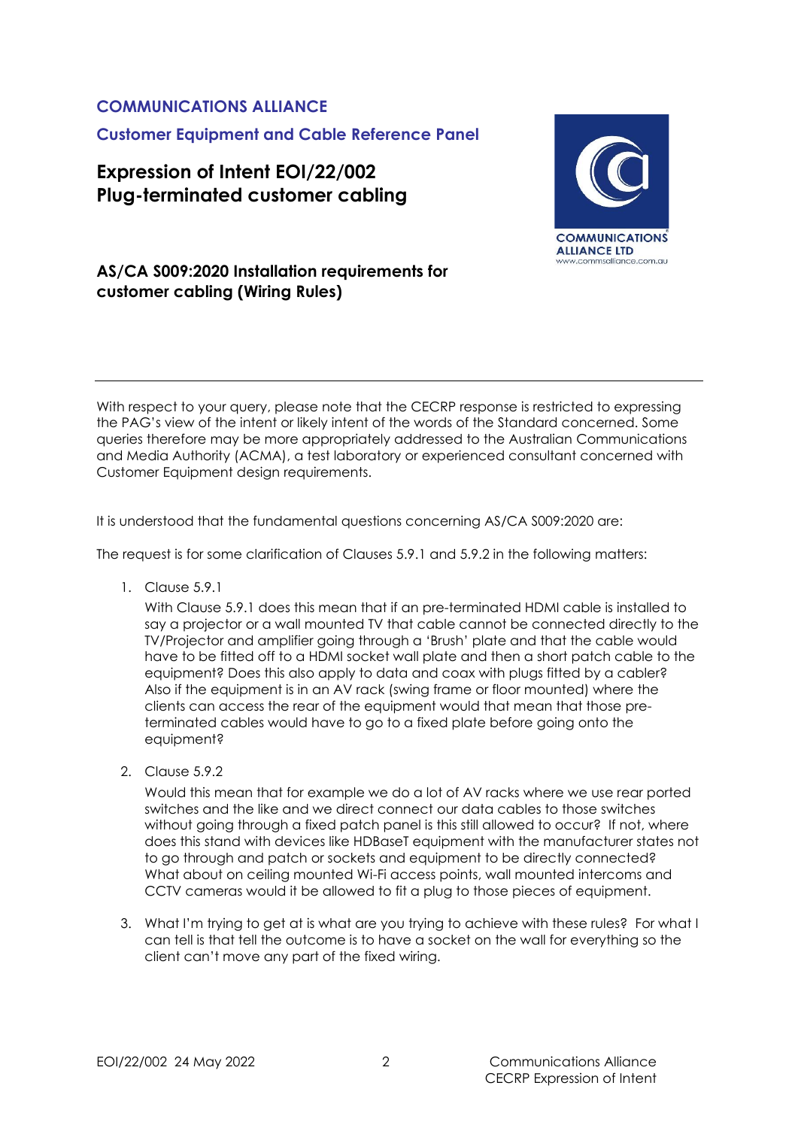# **COMMUNICATIONS ALLIANCE Customer Equipment and Cable Reference Panel**

# **Expression of Intent EOI/22/002 Plug-terminated customer cabling**



### **AS/CA S009:2020 Installation requirements for customer cabling (Wiring Rules)**

With respect to your query, please note that the CECRP response is restricted to expressing the PAG's view of the intent or likely intent of the words of the Standard concerned. Some queries therefore may be more appropriately addressed to the Australian Communications and Media Authority (ACMA), a test laboratory or experienced consultant concerned with Customer Equipment design requirements.

It is understood that the fundamental questions concerning AS/CA S009:2020 are:

The request is for some clarification of Clauses 5.9.1 and 5.9.2 in the following matters:

1. Clause 5.9.1

With Clause 5.9.1 does this mean that if an pre-terminated HDMI cable is installed to say a projector or a wall mounted TV that cable cannot be connected directly to the TV/Projector and amplifier going through a 'Brush' plate and that the cable would have to be fitted off to a HDMI socket wall plate and then a short patch cable to the equipment? Does this also apply to data and coax with plugs fitted by a cabler? Also if the equipment is in an AV rack (swing frame or floor mounted) where the clients can access the rear of the equipment would that mean that those preterminated cables would have to go to a fixed plate before going onto the equipment?

2. Clause 5.9.2

Would this mean that for example we do a lot of AV racks where we use rear ported switches and the like and we direct connect our data cables to those switches without going through a fixed patch panel is this still allowed to occur? If not, where does this stand with devices like HDBaseT equipment with the manufacturer states not to go through and patch or sockets and equipment to be directly connected? What about on ceiling mounted Wi-Fi access points, wall mounted intercoms and CCTV cameras would it be allowed to fit a plug to those pieces of equipment.

3. What I'm trying to get at is what are you trying to achieve with these rules? For what I can tell is that tell the outcome is to have a socket on the wall for everything so the client can't move any part of the fixed wiring.